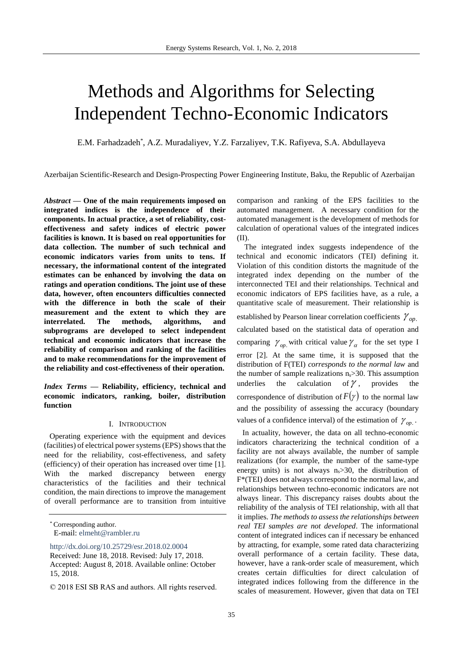# Methods and Algorithms for Selecting Independent Techno-Economic Indicators

E.M. Farhadzadeh\* , A.Z. Muradaliyev, Y.Z. Farzaliyev, T.K. Rafiyeva, S.A. Abdullayeva

Azerbaijan Scientific-Research and Design-Prospecting Power Engineering Institute, Baku, the Republic of Azerbaijan

*Abstract* **— One of the main requirements imposed on integrated indices is the independence of their components. In actual practice, a set of reliability, costeffectiveness and safety indices of electric power facilities is known. It is based on real opportunities for data collection. The number of such technical and economic indicators varies from units to tens. If necessary, the informational content of the integrated estimates can be enhanced by involving the data on ratings and operation conditions. The joint use of these data, however, often encounters difficulties connected with the difference in both the scale of their measurement and the extent to which they are interrelated. The methods, algorithms, and subprograms are developed to select independent technical and economic indicators that increase the reliability of comparison and ranking of the facilities and to make recommendations for the improvement of the reliability and cost-effectiveness of their operation.**

*Index Terms* **— Reliability, efficiency, technical and economic indicators, ranking, boiler, distribution function**

#### I. INTRODUCTION

Operating experience with the equipment and devices (facilities) of electrical power systems (EPS) shows that the need for the reliability, cost-effectiveness, and safety (efficiency) of their operation has increased over time [1]. With the marked discrepancy between energy characteristics of the facilities and their technical condition, the main directions to improve the management of overall performance are to transition from intuitive

<http://dx.doi.org/10.25729/esr.2018.02.0004>

comparison and ranking of the EPS facilities to the automated management. A necessary condition for the automated management is the development of methods for calculation of operational values of the integrated indices (II).

The integrated index suggests independence of the technical and economic indicators (TEI) defining it. Violation of this condition distorts the magnitude of the integrated index depending on the number of the interconnected TEI and their relationships. Technical and economic indicators of EPS facilities have, as a rule, a quantitative scale of measurement. Their relationship is

established by Pearson linear correlation coefficients  $\gamma_{op}$ . calculated based on the statistical data of operation and comparing  $\gamma_{op}$  with critical value  $\gamma_{\alpha}$  for the set type I error [2]. At the same time, it is supposed that the distribution of F(TEI) *corresponds to the normal law* and the number of sample realizations  $n_s$  > 30. This assumption underlies the calculation of  $\gamma$ , provides the correspondence of distribution of  $F(\gamma)$  to the normal law and the possibility of assessing the accuracy (boundary values of a confidence interval) of the estimation of  $\gamma_{op}$ .

In actuality, however, the data on all techno-economic indicators characterizing the technical condition of a facility are not always available, the number of sample realizations (for example, the number of the same-type energy units) is not always  $n_s > 30$ , the distribution of F\*(TEI) does not always correspond to the normal law, and relationships between techno-economic indicators are not always linear. This discrepancy raises doubts about the reliability of the analysis of TEI relationship, with all that it implies. *The methods to assess the relationships between real TEI samples are not developed*. The informational content of integrated indices can if necessary be enhanced by attracting, for example, some rated data characterizing overall performance of a certain facility. These data, however, have a rank-order scale of measurement, which creates certain difficulties for direct calculation of integrated indices following from the difference in the scales of measurement. However, given that data on TEI

<sup>\*</sup> Corresponding author. E-mail: [elmeht@rambler.ru](mailto:elmeht@rambler.ru)

Received: June 18, 2018. Revised: July 17, 2018. Accepted: August 8, 2018. Available online: October 15, 2018.

<sup>© 2018</sup> ESI SB RAS and authors. All rights reserved.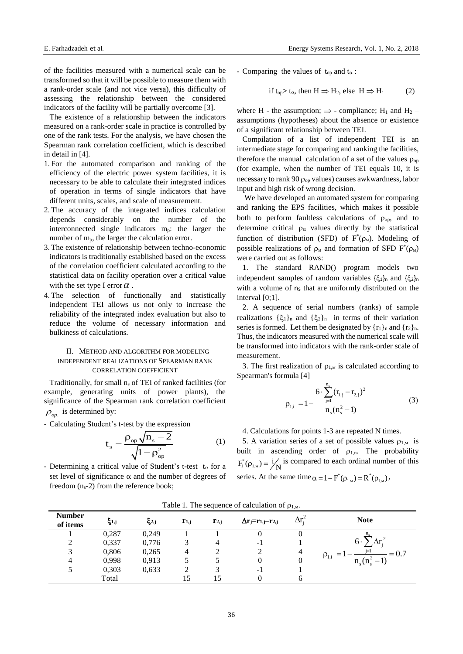of the facilities measured with a numerical scale can be transformed so that it will be possible to measure them with a rank-order scale (and not vice versa), this difficulty of assessing the relationship between the considered indicators of the facility will be partially overcome [3].

The existence of a relationship between the indicators measured on a rank-order scale in practice is controlled by one of the rank tests. For the analysis, we have chosen the Spearman rank correlation coefficient, which is described in detail in [4].

- 1. For the automated comparison and ranking of the efficiency of the electric power system facilities, it is necessary to be able to calculate their integrated indices of operation in terms of single indicators that have different units, scales, and scale of measurement.
- 2. The accuracy of the integrated indices calculation depends considerably on the number of the interconnected single indicators  $m_p$ : the larger the number of m<sub>p</sub>, the larger the calculation error.
- 3. The existence of relationship between techno-economic indicators is traditionally established based on the excess of the correlation coefficient calculated according to the statistical data on facility operation over a critical value with the set type I error  $\alpha$ .
- 4. The selection of functionally and statistically independent TEI allows us not only to increase the reliability of the integrated index evaluation but also to reduce the volume of necessary information and bulkiness of calculations.

## II. METHOD AND ALGORITHM FOR MODELING INDEPENDENT REALIZATIONS OF SPEARMAN RANK CORRELATION COEFFICIENT

Traditionally, for small  $n_s$  of TEI of ranked facilities (for example, generating units of power plants), the significance of the Spearman rank correlation coefficient  $\rho_{op.}$  is determined by:

- Calculating Student's t-test by the expression

$$
t_{\rm s} = \frac{\rho_{\rm op} \sqrt{n_{\rm s} - 2}}{\sqrt{1 - \rho_{\rm op}^2}}
$$
 (1)

- Determining a critical value of Student's t-test  $t_{\alpha}$  for a set level of significance  $\alpha$  and the number of degrees of freedom  $(n_s-2)$  from the reference book;

- Comparing the values of  $t_{op}$  and  $t_{\alpha}$ :

if 
$$
t_{op} > t_{\alpha}
$$
, then  $H \Rightarrow H_2$ , else  $H \Rightarrow H_1$  (2)

where H - the assumption;  $\Rightarrow$  - compliance; H<sub>1</sub> and H<sub>2</sub> – assumptions (hypotheses) about the absence or existence of a significant relationship between TEI.

Compilation of a list of independent TEI is an intermediate stage for comparing and ranking the facilities, therefore the manual calculation of a set of the values  $\rho_{\rm on}$ (for example, when the number of TEI equals 10, it is necessary to rank 90  $\rho_{op}$  values) causes awkwardness, labor input and high risk of wrong decision.

We have developed an automated system for comparing and ranking the EPS facilities, which makes it possible both to perform faultless calculations of  $\rho_{op}$ , and to determine critical  $\rho_{\alpha}$  values directly by the statistical function of distribution (SFD) of  $F^*(p_M)$ . Modeling of possible realizations of  $\rho_M$  and formation of SFD  $F^*(\rho_M)$ were carried out as follows:

1. The standard RAND() program models two independent samples of random variables  $\{\xi_1\}_n$  and  $\{\xi_2\}_n$ with a volume of ns that are uniformly distributed on the interval [0;1].

2. A sequence of serial numbers (ranks) of sample realizations  $\{\xi_1\}_n$  and  $\{\xi_2\}_n$  in terms of their variation series is formed. Let them be designated by  $\{r_1\}_n$  and  $\{r_2\}_n$ . Thus, the indicators measured with the numerical scale will be transformed into indicators with the rank-order scale of measurement.

3. The first realization of  $\rho_{1,M}$  is calculated according to Spearman's formula [4]

$$
\rho_{1,i} = 1 - \frac{6 \cdot \sum_{j=1}^{n_s} (r_{1,j} - r_{2,j})^2}{n_s(n_s^2 - 1)}
$$
(3)

4. Calculations for points 1-3 are repeated N times.

5. A variation series of a set of possible values  $\rho_{1,M}$  is built in ascending order of  $\rho_{1,n}$ . The probability  $F_i^*(\rho_{1_M}) = i/N$  is compared to each ordinal number of this series. At the same time  $\alpha = 1 - F^*(\rho_{1,M}) = R^*(\rho_{1,M})$ ,

| <b>Number</b><br>of items | ξ1,j  | $\xi_{2,j}$ | $r_{1,j}$ | $r_{2,j}$ | $\Delta$ rj=r <sub>1,j</sub> -r <sub>2,j</sub> | Λr | <b>Note</b>                      |
|---------------------------|-------|-------------|-----------|-----------|------------------------------------------------|----|----------------------------------|
|                           | 0,287 | 0,249       |           |           |                                                |    |                                  |
|                           | 0,337 | 0,776       |           |           | - 1                                            |    | $6 \cdot$                        |
|                           | 0,806 | 0,265       | 4         |           |                                                | 4  | $i=1$<br>$= 0.7$<br>$\rho_{1,i}$ |
|                           | 0,998 | 0,913       |           |           |                                                |    | $n_{\rm g}$ ( $n_{\rm g}$ )      |
|                           | 0,303 | 0,633       |           |           | - 1                                            |    |                                  |
|                           | Total |             |           |           |                                                |    |                                  |

Table 1. The sequence of calculation of  $\rho_{1,M}$ .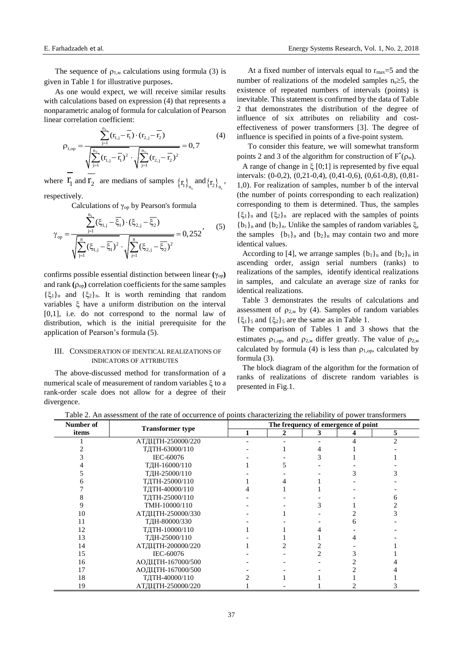The sequence of  $\rho_{1,M}$  calculations using formula (3) is given in Table 1 for illustrative purposes.

As one would expect, we will receive similar results with calculations based on expression (4) that represents a nonparametric analog of formula for calculation of Pearson

linear correlation coefficient:  
\n
$$
\rho_{1,\text{op}} = \frac{\sum_{j=1}^{n_x} (r_{1,j} - \bar{r}_1) \cdot (r_{2,j} - \bar{r}_2)}{\sqrt{\sum_{j=1}^{n_x} (r_{1,j} - \bar{r}_1)^2} \cdot \sqrt{\sum_{j=1}^{n_x} (r_{2,j} - \bar{r}_2)^2}} = 0,7
$$
\n(4)

where  $\mathbf{r}_1$  and  $\mathbf{r}_2$  are medians of samples  $\{\mathbf{r}_1\}_{\mathbf{n}_s}$  and  $\{\mathbf{r}_2\}_{\mathbf{n}_s}$ , respectively.

Calculations of 
$$
\gamma_{op}
$$
 by Pearson's formula  
\n
$$
\gamma_{op} = \frac{\sum_{j=1}^{n_x} (\xi_{1,j} - \overline{\xi_1}) \cdot (\xi_{2,j} - \overline{\xi_2})}{\sqrt{\sum_{j=1}^{n} (\xi_{1,j} - \overline{\xi_1})^2} \cdot \sqrt{\sum_{j=1}^{n} (\xi_{2,j} - \overline{\xi_2})^2}} = 0,252,
$$
\n(5)

confirms possible essential distinction between linear **(**γор**)** and rank  $(\rho_{op})$  correlation coefficients for the same samples  $\{\xi_1\}_n$  and  $\{\xi_2\}_n$ . It is worth reminding that random variables  $\xi$  have a uniform distribution on the interval [0,1], i.e. do not correspond to the normal law of distribution, which is the initial prerequisite for the application of Pearson's formula (5).

# III. CONSIDERATION OF IDENTICAL REALIZATIONS OF INDICATORS OF ATTRIBUTES

The above-discussed method for transformation of a numerical scale of measurement of random variables  $\xi$  to a rank-order scale does not allow for a degree of their divergence.

At a fixed number of intervals equal to  $r_{\text{max}}=5$  and the number of realizations of the modeled samples  $n_s \geq 5$ , the existence of repeated numbers of intervals (points) is inevitable. This statement is confirmed by the data of Table 2 that demonstrates the distribution of the degree of influence of six attributes on reliability and costeffectiveness of power transformers [3]. The degree of influence is specified in points of a five-point system.

To consider this feature, we will somewhat transform points 2 and 3 of the algorithm for construction of  $F^*(\rho_M)$ .

A range of change in  $\xi$  [0;1] is represented by five equal intervals: (0-0,2), (0,21-0,4), (0,41-0,6), (0,61-0,8), (0,81- 1,0). For realization of samples, number b of the interval (the number of points corresponding to each realization) corresponding to them is determined. Thus, the samples  $\{\xi_1\}_n$  and  $\{\xi_2\}_n$  are replaced with the samples of points  ${b_1}_n$  and  ${b_2}_n$ . Unlike the samples of random variables  $\xi$ , the samples  ${b_1}_n$  and  ${b_2}_n$  may contain two and more identical values.

According to [4], we arrange samples  ${b_1}_n$  and  ${b_2}_n$  in ascending order, assign serial numbers (ranks) to realizations of the samples, identify identical realizations in samples, and calculate an average size of ranks for identical realizations.

Table 3 demonstrates the results of calculations and assessment of  $\rho_{2,M}$  by (4). Samples of random variables  $\{\xi_1\}$ <sub>5</sub> and  $\{\xi_2\}$ <sub>5</sub> are the same as in Table 1.

The comparison of Tables 1 and 3 shows that the estimates  $\rho_{1,op}$ , and  $\rho_{2,M}$  differ greatly. The value of  $\rho_{2,M}$ calculated by formula (4) is less than  $\rho_{1,op}$ , calculated by formula (3).

The block diagram of the algorithm for the formation of ranks of realizations of discrete random variables is presented in Fig.1.

| Number of |                         | The frequency of emergence of point |              |   |   |   |  |  |
|-----------|-------------------------|-------------------------------------|--------------|---|---|---|--|--|
| items     | <b>Transformer</b> type |                                     | $\mathbf{2}$ | 3 | 4 | 5 |  |  |
|           | АТДЦТН-250000/220       |                                     |              |   |   | າ |  |  |
|           | ТДТН-63000/110          |                                     |              |   |   |   |  |  |
|           | IEC-60076               |                                     |              |   |   |   |  |  |
|           | ТДН-16000/110           |                                     |              |   |   |   |  |  |
|           | ТДН-25000/110           |                                     |              |   |   |   |  |  |
|           | ТДТН-25000/110          |                                     |              |   |   |   |  |  |
|           | ТДТН-40000/110          |                                     |              |   |   |   |  |  |
|           | ТДТН-25000/110          |                                     |              |   |   |   |  |  |
|           | TMH-10000/110           |                                     |              |   |   |   |  |  |
| 10        | АТДЦТН-250000/330       |                                     |              |   |   |   |  |  |
| 11        | ТДН-80000/330           |                                     |              |   |   |   |  |  |
| 12        | ТДТН-10000/110          |                                     |              |   |   |   |  |  |
| 13        | ТДН-25000/110           |                                     |              |   |   |   |  |  |
| 14        | АТДЦТН-200000/220       |                                     |              |   |   |   |  |  |
| 15        | IEC-60076               |                                     |              |   |   |   |  |  |
| 16        | АОДЦТН-167000/500       |                                     |              |   |   |   |  |  |
| 17        | АОДЦТН-167000/500       |                                     |              |   |   |   |  |  |
| 18        | ТДТН-40000/110          |                                     |              |   |   |   |  |  |
| 19        | АТДЦТН-250000/220       |                                     |              |   |   |   |  |  |

Table 2. An assessment of the rate of occurrence of points characterizing the reliability of power transformers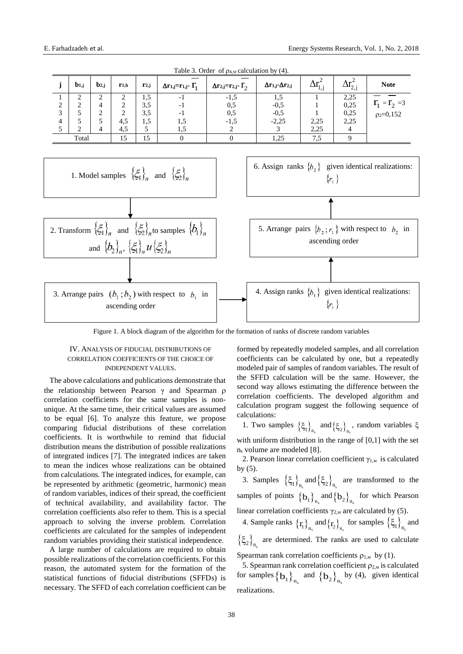

Table 3. Order of  $p_{4,M}$  calculation by (4).

Figure 1. A block diagram of the algorithm for the formation of ranks of discrete random variables

### IV. ANALYSIS OF FIDUCIAL DISTRIBUTIONS OF CORRELATION COEFFICIENTS OF THE CHOICE OF INDEPENDENT VALUES.

The above calculations and publications demonstrate that the relationship between Pearson γ and Spearman correlation coefficients for the same samples is nonunique. At the same time, their critical values are assumed to be equal [6]. To analyze this feature, we propose comparing fiducial distributions of these correlation coefficients. It is worthwhile to remind that fiducial distribution means the distribution of possible realizations of integrated indices [7]. The integrated indices are taken to mean the indices whose realizations can be obtained from calculations. The integrated indices, for example, can be represented by arithmetic (geometric, harmonic) mean of random variables, indices of their spread, the coefficient of technical availability, and availability factor. The correlation coefficients also refer to them. This is a special approach to solving the inverse problem. Correlation coefficients are calculated for the samples of independent random variables providing their statistical independence.

A large number of calculations are required to obtain possible realizations of the correlation coefficients. For this reason, the automated system for the formation of the statistical functions of fiducial distributions (SFFDs) is necessary. The SFFD of each correlation coefficient can be formed by repeatedly modeled samples, and all correlation coefficients can be calculated by one, but a repeatedly modeled pair of samples of random variables. The result of the SFFD calculation will be the same. However, the second way allows estimating the difference between the correlation coefficients. The developed algorithm and calculation program suggest the following sequence of calculations:

1. Two samples  $\left\{\xi_1\right\}_{n_s}$  and  $\left\{\xi_2\right\}_{n_s}$ , random variables  $\xi$ with uniform distribution in the range of [0,1] with the set n<sup>s</sup> volume are modeled [8].

2. Pearson linear correlation coefficient  $\gamma_{1,M}$  is calculated by (5).

3. Samples  $\left\{\xi_1\right\}_{n_s}$  and  $\left\{\xi_2\right\}_{n_s}$  are transformed to the samples of points  $\{b_1\}_{n_s}$  and  $\{b_2\}_{n_s}$  for which Pearson linear correlation coefficients  $\gamma_{2,M}$  are calculated by (5).

4. Sample ranks  $\{r_1\}_{n_s}$  and  $\{r_2\}_{n_s}$  for samples  $\{\xi_1\}_{n_s}$  and  $\left\{\xi_2\right\}_{n_s}$  are determined. The ranks are used to calculate

Spearman rank correlation coefficients  $\rho_{1,M}$  by (1).

5. Spearman rank correlation coefficient  $\rho_{2,M}$  is calculated for samples  ${b_1}_{n_s}$  and  ${b_2}_{n_s}$  by (4), given identical realizations.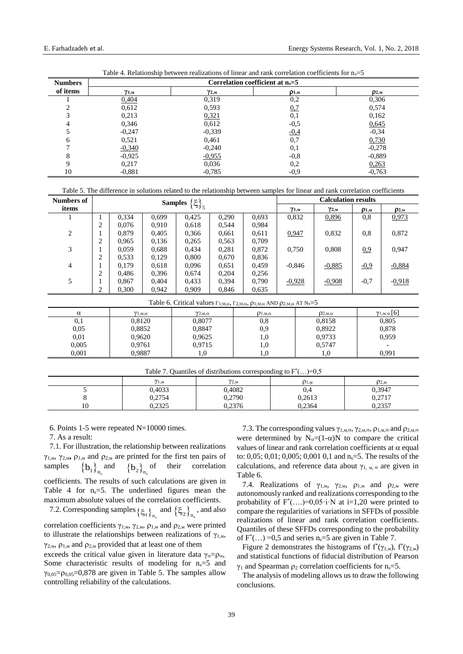| <b>Numbers</b> | Correlation coefficient at $n_s = 5$ |                |              |              |  |  |  |
|----------------|--------------------------------------|----------------|--------------|--------------|--|--|--|
| of items       | γ1,м                                 | $\gamma_{2,m}$ | $\rho_{1,m}$ | $\rho_{2,m}$ |  |  |  |
|                | 0,404                                | 0,319          | $_{0,2}$     | 0,306        |  |  |  |
|                | 0,612                                | 0,593          | 0,7          | 0,574        |  |  |  |
|                | 0,213                                | 0,321          | 0,1          | 0,162        |  |  |  |
|                | 0,346                                | 0,612          | $-0,5$       | 0,645        |  |  |  |
|                | $-0,247$                             | $-0,339$       | <u>-0,4</u>  | $-0,34$      |  |  |  |
| 6              | 0,521                                | 0,461          | 0,7          | 0,730        |  |  |  |
|                | $-0,340$                             | $-0,240$       | 0,1          | $-0,278$     |  |  |  |
| 8              | $-0.925$                             | $-0,955$       | $-0,8$       | $-0.889$     |  |  |  |
| Q              | 0,217                                | 0,036          | 0,2          | 0,263        |  |  |  |
| 10             | $-0.881$                             | $-0,785$       | $-0,9$       | $-0,763$     |  |  |  |

Table 4. Relationship between realizations of linear and rank correlation coefficients for  $n_s=5$ 

Table 5. The difference in solutions related to the relationship between samples for linear and rank correlation coefficients

| Numbers of     | <b>Samples</b> $\{\xi\}_5$                                                                                                   |                              |       |                              |       |                       | <b>Calculation results</b> |                       |              |                                  |
|----------------|------------------------------------------------------------------------------------------------------------------------------|------------------------------|-------|------------------------------|-------|-----------------------|----------------------------|-----------------------|--------------|----------------------------------|
| items          |                                                                                                                              |                              |       |                              |       |                       | $\gamma_{1,m}$             | $\gamma_{2,m}$        | $\rho_{1,m}$ | D2, M                            |
|                |                                                                                                                              | 0,334                        | 0,699 | 0,425                        | 0,290 | 0,693                 | 0,832                      | 0,896                 | 0,8          | 0,973                            |
|                | 2                                                                                                                            | 0.076                        | 0,910 | 0,618                        | 0,544 | 0,984                 |                            |                       |              |                                  |
| $\overline{2}$ |                                                                                                                              | 0.879                        | 0,405 | 0,366                        | 0,661 | 0,611                 | 0,947                      | 0,832                 | 0,8          | 0,872                            |
|                | 2                                                                                                                            | 0.965                        | 0,136 | 0,265                        | 0,563 | 0,709                 |                            |                       |              |                                  |
| 3              |                                                                                                                              | 0.059                        | 0,688 | 0,434                        | 0,281 | 0,872                 | 0,750                      | 0,808                 | 0.9          | 0.947                            |
|                | 2                                                                                                                            | 0,533                        | 0,129 | 0,800                        | 0,670 | 0,836                 |                            |                       |              |                                  |
| $\overline{4}$ |                                                                                                                              | 0.179                        | 0,618 | 0,096                        | 0,651 | 0,459                 | $-0,846$                   | $-0,885$              | $-0.9$       | $-0,884$                         |
|                | 2                                                                                                                            | 0.486                        | 0,396 | 0,674                        | 0,204 | 0,256                 |                            |                       |              |                                  |
| 5              |                                                                                                                              | 0.867                        | 0.404 | 0,433                        | 0,394 | 0.790                 | $-0,928$                   | $-0,908$              | $-0,7$       | $-0,918$                         |
|                | 2                                                                                                                            | 0,300                        | 0,942 | 0,909                        | 0,846 | 0.635                 |                            |                       |              |                                  |
|                | Table 6. Critical values $\Gamma_{1,M,\alpha}$ , $\Gamma_{2,M,\alpha}$ , $\rho_{1,M,\alpha}$ AND $\rho_{2,M,\alpha}$ AT Ns=5 |                              |       |                              |       |                       |                            |                       |              |                                  |
| $\alpha$       |                                                                                                                              | $\gamma_{1,\text{M},\alpha}$ |       | $\gamma_{2,\text{M},\alpha}$ |       | $\rho_{1, M, \alpha}$ |                            | $\rho_{2, M, \alpha}$ |              | $\gamma_{1,\text{M},\alpha}$ [6] |
| 0,1            | 0,8120<br>0.8077                                                                                                             |                              | 0.8   | 0,8158                       |       |                       | 0,805                      |                       |              |                                  |
| 0.05           | 0,9<br>0,8852<br>0,8847                                                                                                      |                              |       | 0,8922                       |       | 0,878                 |                            |                       |              |                                  |
| 0.01           |                                                                                                                              | 0,9620                       |       | 0,9625                       |       | 1,0                   |                            | 0,9733                | 0,959        |                                  |

| Table 7. Quantiles of distributions corresponding to $F^*() = 0.5$ |                         |                         |              |              |  |  |  |
|--------------------------------------------------------------------|-------------------------|-------------------------|--------------|--------------|--|--|--|
|                                                                    | $\gamma_{1,\mathrm{M}}$ | $\gamma_{2,\mathrm{M}}$ | $\rho_{1,M}$ | $\rho_{2,M}$ |  |  |  |
|                                                                    | 0,4033                  | 0,4082                  | 0,4          | 0,3947       |  |  |  |
|                                                                    | 0,2754                  | 0,2790                  | 0,2613       | 0,2717       |  |  |  |
| 10                                                                 | 0.2325                  | 0.2376                  | 0.2364       | 0.2357       |  |  |  |

1,0 1,0

0,9715 1,0

6. Points 1-5 were repeated  $N=10000$  times.

7. As a result:

0,005 0,001

7.1. For illustration, the relationship between realizations  $γ_{1,M}$ ,  $γ_{2,M}$ ,  $ρ_{1,M}$  and  $ρ_{2,M}$  are printed for the first ten pairs of samples  $\left\{ \mathbf{b}_{1}\right\} _{\mathbf{n}_{\mathrm{s}}}$  and  $\left\{\mathbf{b}_2\right\}_{\mathbf{n}_{\mathrm{s}}}$ their correlation coefficients. The results of such calculations are given in Table 4 for  $n_s = 5$ . The underlined figures mean the maximum absolute values of the correlation coefficients.

0,9761 0,9887

7.2. Corresponding samples  $\{\xi_1\}_{n_s}$  and  $\{\xi_2\}_{n_s}$ , and also correlation coefficients  $\gamma_{1,M}$ ,  $\gamma_{2,M}$ ,  $\rho_{1,M}$  and  $\rho_{2,M}$  were printed to illustrate the relationships between realizations of  $\gamma_{1,M}$ ,  $γ_{2,μ}$ ,  $ρ_{1,μ}$  and  $ρ_{2,μ}$  provided that at least one of them exceeds the critical value given in literature data  $\gamma_{\alpha}=\rho_{\alpha}$ ,

Some characteristic results of modeling for  $n_s=5$  and  $\gamma_{0.05} = \rho_{0.05} = 0.878$  are given in Table 5. The samples allow controlling reliability of the calculations.

7.3. The corresponding values  $\gamma_{1,\text{M},\alpha}$ ,  $\gamma_{2,\text{M},\alpha}$ ,  $\rho_{1,\text{M},\alpha}$  and  $\rho_{2,\text{M},\alpha}$ were determined by  $N_{\alpha}=(1-\alpha)N$  to compare the critical values of linear and rank correlation coefficients at  $\alpha$  equal to: 0,05; 0,01; 0,005; 0,001 0,1 and  $n_s = 5$ . The results of the calculations, and reference data about  $\gamma_{1, M, \alpha}$  are given in Table 6.

0,5747 1,0

- 0,991

7.4. Realizations of  $\gamma_{1,m}$ ,  $\gamma_{2,m}$ ,  $\rho_{1,m}$  and  $\rho_{2,m}$  were autonomously ranked and realizations corresponding to the probability of  $F^*$ (....)=0,05·i·N at i=1,20 were printed to compare the regularities of variations in SFFDs of possible realizations of linear and rank correlation coefficients. Quantiles of these SFFDs corresponding to the probability of  $F^*(...)=0,5$  and series  $n_s=5$  are given in Table 7.

Figure 2 demonstrates the histograms of  $f^*(\gamma_{1,M})$ ,  $f^*(\gamma_{2,M})$ and statistical functions of fiducial distribution of Pearson  $γ<sub>1</sub>$  and Spearman  $ρ<sub>2</sub>$  correlation coefficients for n<sub>s</sub>=5.

The analysis of modeling allows us to draw the following conclusions.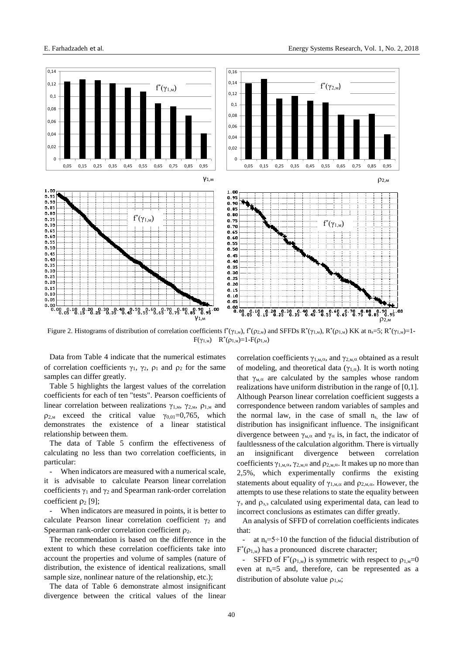

Figure 2. Histograms of distribution of correlation coefficients  $f^*(\gamma_{1,M})$ ,  $f^*(\rho_{2,M})$  and SFFDs  $R^*(\gamma_{1,M})$ ,  $R^*(\rho_{1,M})$  KK at n<sub>s</sub>=5;  $R^*(\gamma_{1,M})$ =1- $F(\gamma_{1,M})$   $R^*(\rho_{1,M})=1-F(\rho_{1,M})$ 

Data from Table 4 indicate that the numerical estimates of correlation coefficients  $\gamma_1$ ,  $\gamma_2$ ,  $\rho_1$  and  $\rho_2$  for the same samples can differ greatly.

Table 5 highlights the largest values of the correlation coefficients for each of ten "tests". Pearson coefficients of linear correlation between realizations  $\gamma_{1,M}$ ,  $\gamma_{2,M}$ ,  $\rho_{1,M}$  and  $\rho_{2,M}$  exceed the critical value  $\gamma_{0,01}=0,765$ , which demonstrates the existence of a linear statistical relationship between them.

The data of Table 5 confirm the effectiveness of calculating no less than two correlation coefficients, in particular:

When indicators are measured with a numerical scale, it is advisable to calculate Pearson linear correlation coefficients  $\gamma_1$  and  $\gamma_2$  and Spearman rank-order correlation coefficient  $\rho_2$  [9];

When indicators are measured in points, it is better to calculate Pearson linear correlation coefficient  $\gamma_2$  and Spearman rank-order correlation coefficient  $\rho_2$ .

The recommendation is based on the difference in the extent to which these correlation coefficients take into account the properties and volume of samples (nature of distribution, the existence of identical realizations, small sample size, nonlinear nature of the relationship, etc.);

The data of Table 6 demonstrate almost insignificant divergence between the critical values of the linear correlation coefficients  $\gamma_{1,\text{M},\alpha}$ , and  $\gamma_{2,\text{M},\alpha}$  obtained as a result of modeling, and theoretical data ( $\gamma_{1,\alpha}$ ). It is worth noting that  $\gamma_{M,\alpha}$  are calculated by the samples whose random realizations have uniform distribution in the range of [0,1]. Although Pearson linear correlation coefficient suggests a correspondence between random variables of samples and the normal law, in the case of small  $n_s$ , the law of distribution has insignificant influence. The insignificant divergence between  $\gamma_{M,\alpha}$  and  $\gamma_{\alpha}$  is, in fact, the indicator of faultlessness of the calculation algorithm. There is virtually an insignificant divergence between correlation coefficients  $\gamma_{1,\text{M},\alpha}$ ,  $\gamma_{2,\text{M},\alpha}$  and  $\rho_{2,\text{M},\alpha}$ . It makes up no more than 2,5%, which experimentally confirms the existing statements about equality of  $\gamma_{1,\text{M},\alpha}$  and  $\rho_{2,\text{M},\alpha}$ . However, the attempts to use these relations to state the equality between  $\gamma_3$  and  $\rho_{3,3}$  calculated using experimental data, can lead to incorrect conclusions as estimates can differ greatly.

An analysis of SFFD of correlation coefficients indicates that:

at  $n_s = 5 \div 10$  the function of the fiducial distribution of  $F^*(p_{1,M})$  has a pronounced discrete character;

- SFFD of  $F^*(p_{1,M})$  is symmetric with respect to  $p_{1,M}=0$ even at  $n_s = 5$  and, therefore, can be represented as a distribution of absolute value  $\rho_{1,M}$ ;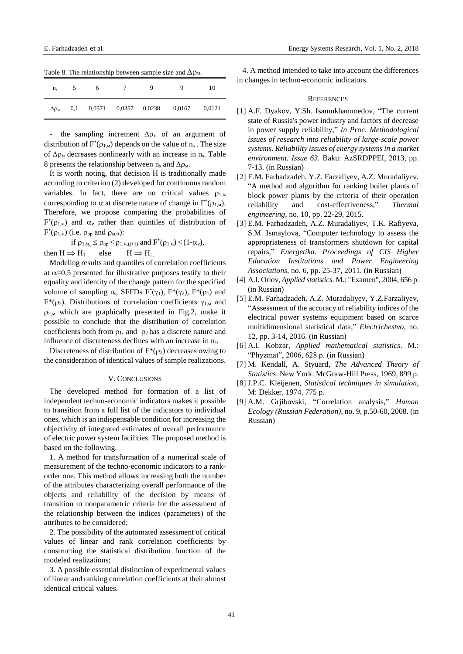| rable 8. The relationship between sample size and $\Delta p_M$ . |     |     |                   |        |        |        |  |  |  |
|------------------------------------------------------------------|-----|-----|-------------------|--------|--------|--------|--|--|--|
| $n_{s}$                                                          |     | - 6 | $\sim$ $\sim$     |        |        | 10     |  |  |  |
| $\Delta \rho_{\rm M}$                                            | 0.1 |     | $0,0571$ $0,0357$ | 0,0238 | 0,0167 | 0.0121 |  |  |  |

Table 8. The relationship between sample size and  $\Lambda$ 

- the sampling increment  $\Delta \rho_M$  of an argument of distribution of  $F^*(p_{1,M})$  depends on the value of  $n_s$ . The size of  $\Delta \rho_M$  decreases nonlinearly with an increase in n<sub>s</sub>. Table 8 presents the relationship between  $n_s$  and  $\Delta \rho_M$ .

It is worth noting, that decision H is traditionally made according to criterion (2) developed for continuous random variables. In fact, there are no critical values  $\rho_{1,\alpha}$ corresponding to  $\alpha$  at discrete nature of change in  $F^*(p_{1,M})$ . Therefore, we propose comparing the probabilities of  $F^*(p_{1,M})$  and  $\alpha_{\kappa}$  rather than quintiles of distribution of  $F^*(\rho_{1,M})$  (i.e.  $\rho_{op}$  and  $\rho_{M,\alpha}$ ):

$$
\begin{aligned} \text{if } \rho_{1, \text{m}, j} \leq \rho_{\text{op}} < \rho_{1, \text{m}, (j+1)} \text{ and } F^*(\rho_{1, \text{m}}) < (1 - \alpha_{\kappa}),\\ \text{then } H \Longrightarrow H_1 \quad & \text{else} \quad & H \Longrightarrow H_2. \end{aligned}
$$

Modeling results and quantiles of correlation coefficients at  $\alpha$ =0,5 presented for illustrative purposes testify to their equality and identity of the change pattern for the specified volume of sampling  $n_s$ , SFFDs  $F^*(\gamma_1)$ ,  $F^*(\gamma_2)$ ,  $F^*(\rho_1)$  and F<sup>\*</sup>( $\rho$ <sub>2</sub>). Distributions of correlation coefficients  $\gamma$ <sub>1.M</sub> and  $\rho_{2,M}$  which are graphically presented in Fig.2, make it possible to conclude that the distribution of correlation coefficients both from  $\rho_1$ , and  $\rho_2$  has a discrete nature and influence of discreteness declines with an increase in n<sub>s</sub>.

Discreteness of distribution of  $F^*(\rho_2)$  decreases owing to the consideration of identical values of sample realizations.

#### V. CONCLUSIONS

The developed method for formation of a list of independent techno-economic indicators makes it possible to transition from a full list of the indicators to individual ones, which is an indispensable condition for increasing the objectivity of integrated estimates of overall performance of electric power system facilities. The proposed method is based on the following.

1. A method for transformation of a numerical scale of measurement of the techno-economic indicators to a rankorder one. This method allows increasing both the number of the attributes characterizing overall performance of the objects and reliability of the decision by means of transition to nonparametric criteria for the assessment of the relationship between the indices (parameters) of the attributes to be considered;

2. The possibility of the automated assessment of critical values of linear and rank correlation coefficients by constructing the statistical distribution function of the modeled realizations;

3. A possible essential distinction of experimental values of linear and ranking correlation coefficients at their almost identical critical values.

4. A method intended to take into account the differences in changes in techno-economic indicators.

#### **REFERENCES**

- [1] A.F. Dyakov, Y.Sh. Isamukhammedov, "The current state of Russia's power industry and factors of decrease in power supply reliability," *In Proc. Methodological issues of research into reliability of large-scale power systems. Reliability issues of energy systems in a market environment. Issue 63.* Baku: AzSRDPPEI, 2013, pp. 7-13. (in Russian)
- [2] E.M. Farhadzadeh, Y.Z. Farzaliyev, A.Z. Muradaliyev, "A method and algorithm for ranking boiler plants of block power plants by the criteria of their operation reliability and cost-effectiveness," *Thermal engineering*, no. 10, pp. 22-29, 2015.
- [3] E.M. Farhadzadeh, A.Z. Muradaliyev, T.K. Rafiyeva, S.M. Ismaylova, "Computer technology to assess the appropriateness of transformers shutdown for capital repairs," *Energetika. Proceedings of CIS Higher Education Institutions and Power Engineering Associations*, no. 6, pp. 25-37, 2011. (in Russian)
- [4] A.I. Orlov, *Applied statistics*. M.: "Examen", 2004, 656 p. (in Russian)
- [5] E.M. Farhadzadeh, A.Z. Muradaliyev, Y.Z.Farzaliyev, "Assessment of the accuracy of reliability indices of the electrical power systems equipment based on scarce multidimensional statistical data," *Electrichestvo*, no. 12, pp. 3-14, 2016. (in Russian)
- [6] A.I. Kobzar, *Applied mathematical statistics*. M.: "Phyzmat", 2006, 628 p. (in Russian)
- [7] M. Kendall, A. Styuard, *The Advanced Theory of Statistics*. New York: McGraw-Hill Press, 1969, 899 p.
- [8] J.P.C. Kleijenen, *Statistical techniques in simulation*, M: Dekker, 1974. 775 p.
- [9] A.M. Grjibovski, "Correlation analysis," *Human Ecology (Russian Federation)*, no. 9, p.50-60, 2008. (in Russian)